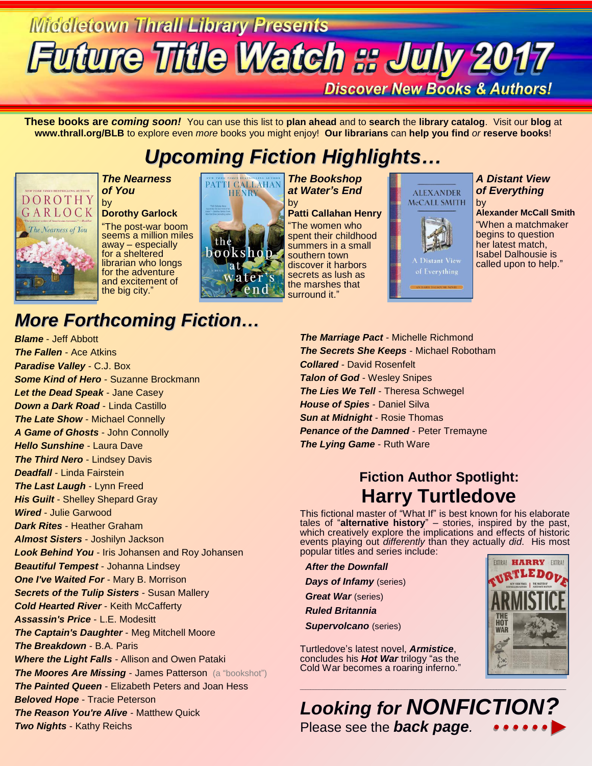# **Middletown Thrall Library Presents Future Title Watch :: July 2017**

**Discover New Books & Authors!** 

**These books are** *coming soon!* You can use this list to **plan ahead** and to **search** the **library catalog**. Visit our **blog** at **www.thrall.org/BLB** to explore even *more* books you might enjoy! **Our librarians** can **help you find** *or* **reserve books**!

## *Upcoming Fiction Highlights…*



#### *The Nearness of You* by

#### **Dorothy Garlock**

"The post-war boom seems a million miles away – especially for a sheltered librarian who longs for the adventure and excitement of the big city.'



*The Bookshop at Water's End*

by **Patti Callahan Henry** "The women who spent their childhood summers in a small southern town discover it harbors secrets as lush as the marshes that surround it."



#### *A Distant View of Everything* by

**Alexander McCall Smith** "When a matchmaker begins to question her latest match, Isabel Dalhousie is called upon to help."

## *More Forthcoming Fiction…*

*Blame* - Jeff Abbott *The Fallen* - Ace Atkins *Paradise Valley* - C.J. Box *Some Kind of Hero* - Suzanne Brockmann *Let the Dead Speak* - Jane Casey *Down a Dark Road* - Linda Castillo *The Late Show* - Michael Connelly *A Game of Ghosts* - John Connolly *Hello Sunshine* - Laura Dave *The Third Nero* - Lindsey Davis *Deadfall* - Linda Fairstein *The Last Laugh* - Lynn Freed *His Guilt* - Shelley Shepard Gray *Wired* - Julie Garwood *Dark Rites* - Heather Graham *Almost Sisters* - Joshilyn Jackson *Look Behind You* - Iris Johansen and Roy Johansen *Beautiful Tempest* - Johanna Lindsey *One I've Waited For* - Mary B. Morrison *Secrets of the Tulip Sisters* - Susan Mallery *Cold Hearted River* - Keith McCafferty *Assassin's Price* - L.E. Modesitt *The Captain's Daughter* - Meg Mitchell Moore *The Breakdown* - B.A. Paris *Where the Light Falls* - Allison and Owen Pataki **The Moores Are Missing - James Patterson** (a "bookshot") *The Painted Queen* - Elizabeth Peters and Joan Hess *Beloved Hope* - Tracie Peterson *The Reason You're Alive* - Matthew Quick *Two Nights* - Kathy Reichs

*The Marriage Pact* - Michelle Richmond *The Secrets She Keeps* - Michael Robotham *Collared* - David Rosenfelt *Talon of God* - Wesley Snipes *The Lies We Tell* - Theresa Schwegel *House of Spies* - Daniel Silva *Sun at Midnight* - Rosie Thomas *Penance of the Damned* - Peter Tremayne *The Lying Game* - Ruth Ware

### **Fiction Author Spotlight: Harry Turtledove**

This fictional master of "What If" is best known for his elaborate tales of "**alternative history**" – stories, inspired by the past, which creatively explore the implications and effects of historic events playing out *differently* than they actually *did*. His most popular titles and series include:

 *After the Downfall Days of Infamy* (series)  *Great War* (series)

 *Ruled Britannia*

 *Supervolcano* (series)

Turtledove's latest novel, *Armistice*, concludes his *Hot War* trilogy "as the Cold War becomes a roaring inferno."



*Looking for NONFICTION?* Please see the *back page.*

 $\_$  , and the contribution of the contribution of the contribution of the contribution of  $\mathcal{L}_\text{max}$